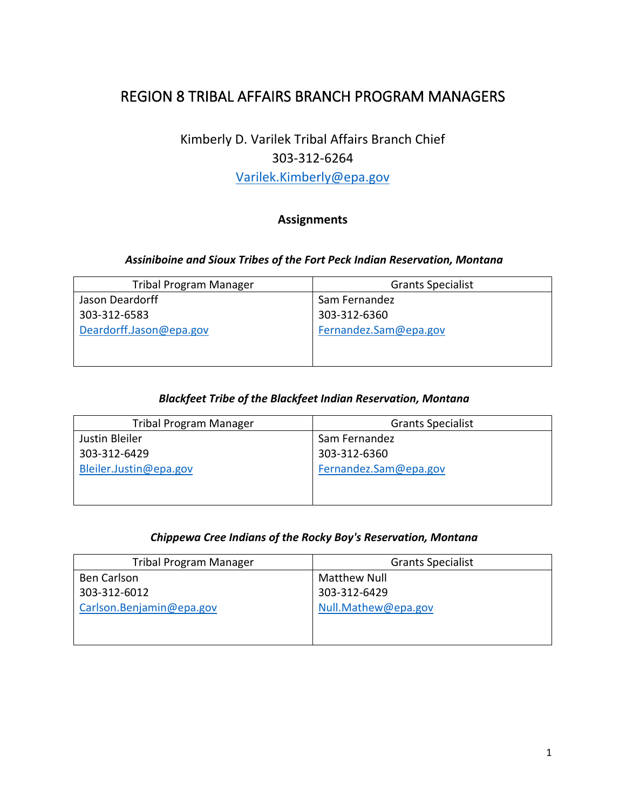# REGION 8 TRIBAL AFFAIRS BRANCH PROGRAM MANAGERS

# Kimberly D. Varilek Tribal Affairs Branch Chief 303-312-6264

[Varilek.Kimberly@epa.gov](mailto:Varilek.Kimberly@epa.gov)

### **Assignments**

#### *Assiniboine and Sioux Tribes of the Fort Peck Indian Reservation, Montana*

| <b>Tribal Program Manager</b> | <b>Grants Specialist</b> |
|-------------------------------|--------------------------|
| Jason Deardorff               | Sam Fernandez            |
| 303-312-6583                  | 303-312-6360             |
| Deardorff.Jason@epa.gov       | Fernandez.Sam@epa.gov    |
|                               |                          |
|                               |                          |

#### *Blackfeet Tribe of the Blackfeet Indian Reservation, Montana*

| <b>Tribal Program Manager</b> | <b>Grants Specialist</b> |
|-------------------------------|--------------------------|
| Justin Bleiler                | Sam Fernandez            |
| 303-312-6429                  | 303-312-6360             |
| Bleiler.Justin@epa.gov        | Fernandez.Sam@epa.gov    |
|                               |                          |
|                               |                          |

#### *Chippewa Cree Indians of the Rocky Boy's Reservation, Montana*

| <b>Tribal Program Manager</b> | <b>Grants Specialist</b> |
|-------------------------------|--------------------------|
| <b>Ben Carlson</b>            | Matthew Null             |
| 303-312-6012                  | 303-312-6429             |
| Carlson.Benjamin@epa.gov      | Null.Mathew@epa.gov      |
|                               |                          |
|                               |                          |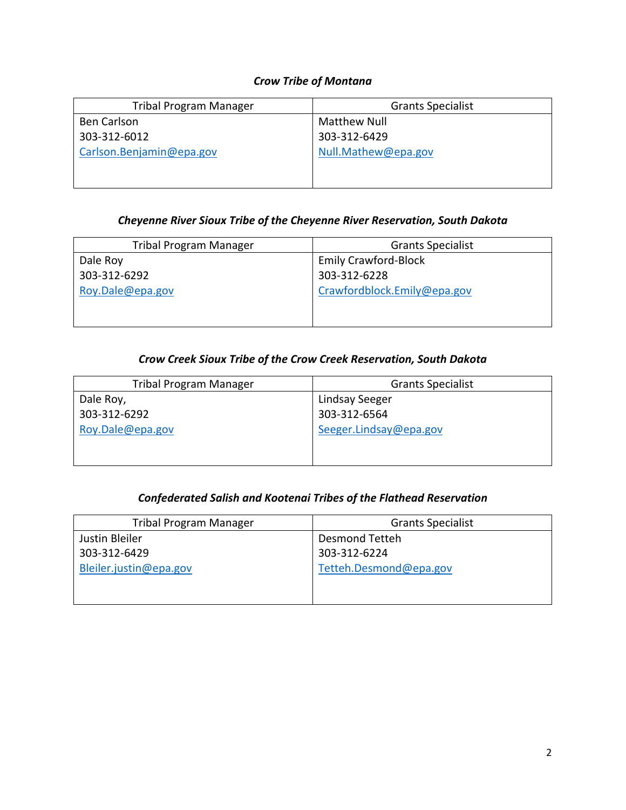### *Crow Tribe of Montana*

| <b>Tribal Program Manager</b> | <b>Grants Specialist</b> |
|-------------------------------|--------------------------|
| <b>Ben Carlson</b>            | <b>Matthew Null</b>      |
| 303-312-6012                  | 303-312-6429             |
| Carlson.Benjamin@epa.gov      | Null.Mathew@epa.gov      |
|                               |                          |
|                               |                          |

### *Cheyenne River Sioux Tribe of the Cheyenne River Reservation, South Dakota*

| <b>Tribal Program Manager</b> | <b>Grants Specialist</b>    |
|-------------------------------|-----------------------------|
| Dale Roy                      | <b>Emily Crawford-Block</b> |
| 303-312-6292                  | 303-312-6228                |
| Roy.Dale@epa.gov              | Crawfordblock.Emily@epa.gov |
|                               |                             |
|                               |                             |

### *Crow Creek Sioux Tribe of the Crow Creek Reservation, South Dakota*

| <b>Tribal Program Manager</b> | <b>Grants Specialist</b> |
|-------------------------------|--------------------------|
| Dale Roy,                     | Lindsay Seeger           |
| 303-312-6292                  | 303-312-6564             |
| Roy.Dale@epa.gov              | Seeger.Lindsay@epa.gov   |
|                               |                          |
|                               |                          |

### *Confederated Salish and Kootenai Tribes of the Flathead Reservation*

| <b>Tribal Program Manager</b> | <b>Grants Specialist</b> |
|-------------------------------|--------------------------|
| Justin Bleiler                | Desmond Tetteh           |
| 303-312-6429                  | 303-312-6224             |
| Bleiler.justin@epa.gov        | Tetteh.Desmond@epa.gov   |
|                               |                          |
|                               |                          |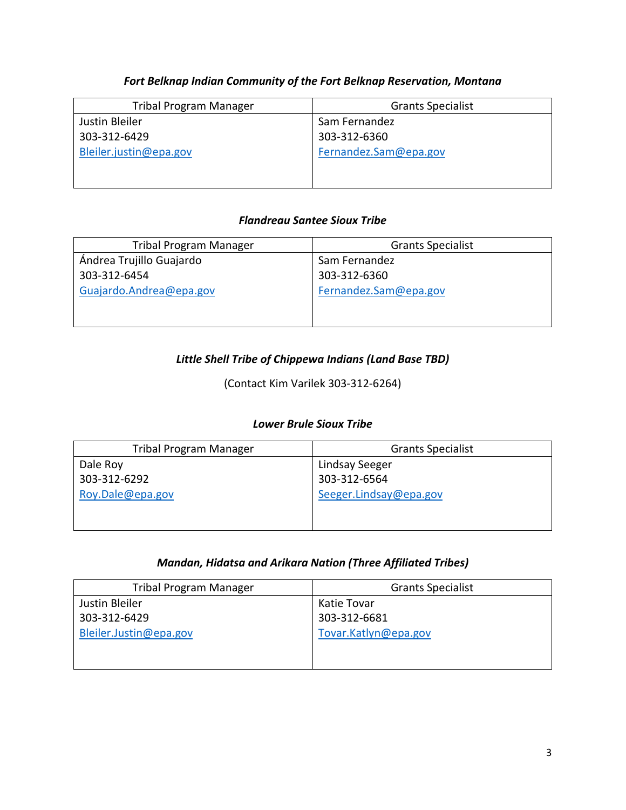### *Fort Belknap Indian Community of the Fort Belknap Reservation, Montana*

| <b>Tribal Program Manager</b> | <b>Grants Specialist</b> |
|-------------------------------|--------------------------|
| Justin Bleiler                | Sam Fernandez            |
| 303-312-6429                  | 303-312-6360             |
| Bleiler.justin@epa.gov        | Fernandez.Sam@epa.gov    |
|                               |                          |
|                               |                          |

#### *Flandreau Santee Sioux Tribe*

| <b>Tribal Program Manager</b> | <b>Grants Specialist</b> |
|-------------------------------|--------------------------|
| Ándrea Trujillo Guajardo      | Sam Fernandez            |
| 303-312-6454                  | 303-312-6360             |
| Guajardo.Andrea@epa.gov       | Fernandez.Sam@epa.gov    |
|                               |                          |
|                               |                          |

### *Little Shell Tribe of Chippewa Indians (Land Base TBD)*

(Contact Kim Varilek 303-312-6264)

#### *Lower Brule Sioux Tribe*

| <b>Tribal Program Manager</b> | <b>Grants Specialist</b> |
|-------------------------------|--------------------------|
| Dale Roy                      | Lindsay Seeger           |
| 303-312-6292                  | 303-312-6564             |
| Roy.Dale@epa.gov              | Seeger.Lindsay@epa.gov   |
|                               |                          |
|                               |                          |

#### *Mandan, Hidatsa and Arikara Nation (Three Affiliated Tribes)*

| <b>Tribal Program Manager</b> | <b>Grants Specialist</b> |
|-------------------------------|--------------------------|
| Justin Bleiler                | Katie Tovar              |
| 303-312-6429                  | 303-312-6681             |
| Bleiler.Justin@epa.gov        | Tovar.Katlyn@epa.gov     |
|                               |                          |
|                               |                          |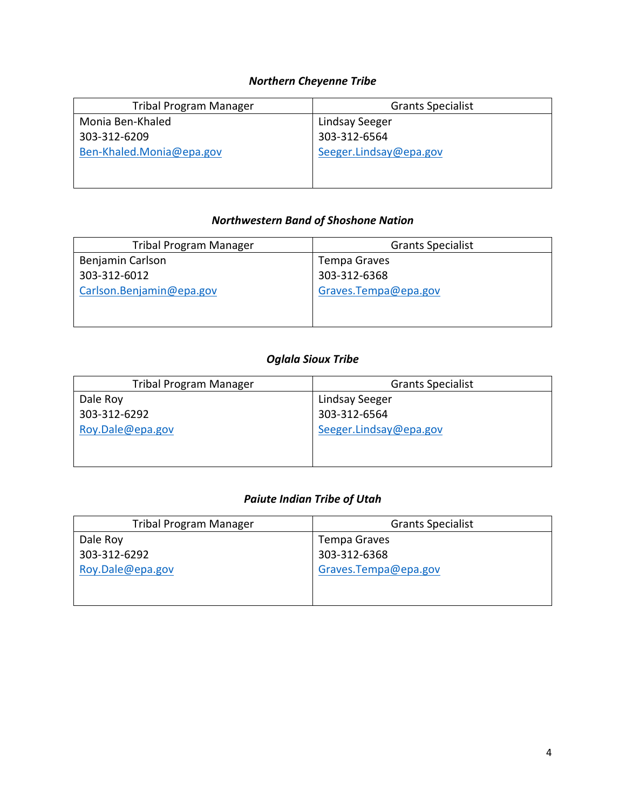## *Northern Cheyenne Tribe*

| <b>Tribal Program Manager</b> | <b>Grants Specialist</b> |
|-------------------------------|--------------------------|
| Monia Ben-Khaled              | Lindsay Seeger           |
| 303-312-6209                  | 303-312-6564             |
| Ben-Khaled.Monia@epa.gov      | Seeger.Lindsay@epa.gov   |
|                               |                          |
|                               |                          |

### *Northwestern Band of Shoshone Nation*

| <b>Tribal Program Manager</b> | <b>Grants Specialist</b> |
|-------------------------------|--------------------------|
| Benjamin Carlson              | Tempa Graves             |
| 303-312-6012                  | 303-312-6368             |
| Carlson.Benjamin@epa.gov      | Graves.Tempa@epa.gov     |
|                               |                          |
|                               |                          |

### *Oglala Sioux Tribe*

| <b>Tribal Program Manager</b> | <b>Grants Specialist</b> |
|-------------------------------|--------------------------|
| Dale Roy                      | Lindsay Seeger           |
| 303-312-6292                  | 303-312-6564             |
| Roy.Dale@epa.gov              | Seeger.Lindsay@epa.gov   |
|                               |                          |
|                               |                          |

### *Paiute Indian Tribe of Utah*

| <b>Tribal Program Manager</b> | <b>Grants Specialist</b> |
|-------------------------------|--------------------------|
| Dale Roy                      | Tempa Graves             |
| 303-312-6292                  | 303-312-6368             |
| Roy.Dale@epa.gov              | Graves.Tempa@epa.gov     |
|                               |                          |
|                               |                          |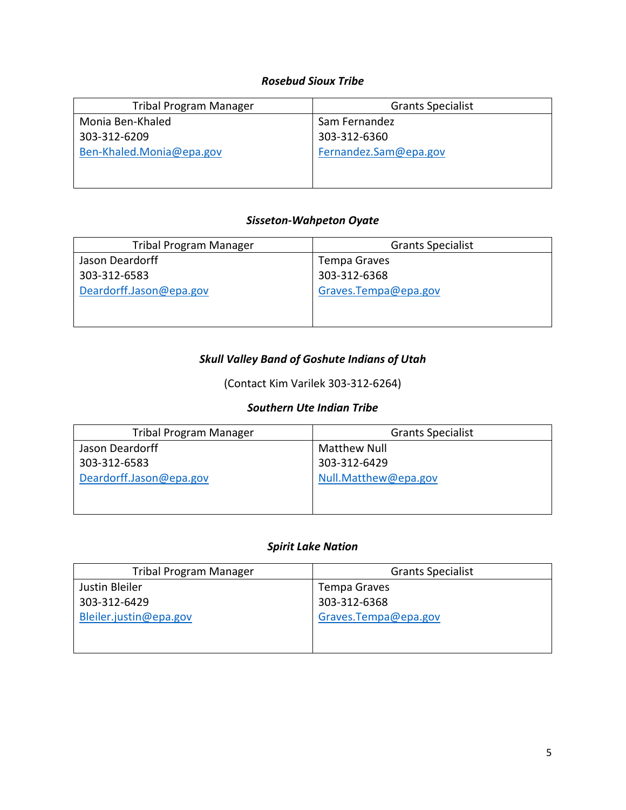#### *Rosebud Sioux Tribe*

| <b>Tribal Program Manager</b> | <b>Grants Specialist</b> |
|-------------------------------|--------------------------|
| Monia Ben-Khaled              | Sam Fernandez            |
| 303-312-6209                  | 303-312-6360             |
| Ben-Khaled.Monia@epa.gov      | Fernandez.Sam@epa.gov    |
|                               |                          |
|                               |                          |

#### *Sisseton-Wahpeton Oyate*

| <b>Tribal Program Manager</b> | <b>Grants Specialist</b> |
|-------------------------------|--------------------------|
| Jason Deardorff               | Tempa Graves             |
| 303-312-6583                  | 303-312-6368             |
| Deardorff.Jason@epa.gov       | Graves.Tempa@epa.gov     |
|                               |                          |
|                               |                          |

### *Skull Valley Band of Goshute Indians of Utah*

(Contact Kim Varilek 303-312-6264)

### *Southern Ute Indian Tribe*

| <b>Tribal Program Manager</b> | <b>Grants Specialist</b> |
|-------------------------------|--------------------------|
| Jason Deardorff               | Matthew Null             |
| 303-312-6583                  | 303-312-6429             |
| Deardorff.Jason@epa.gov       | Null.Matthew@epa.gov     |
|                               |                          |
|                               |                          |

#### *Spirit Lake Nation*

| <b>Tribal Program Manager</b> | <b>Grants Specialist</b> |
|-------------------------------|--------------------------|
| Justin Bleiler                | <b>Tempa Graves</b>      |
| 303-312-6429                  | 303-312-6368             |
| Bleiler.justin@epa.gov        | Graves.Tempa@epa.gov     |
|                               |                          |
|                               |                          |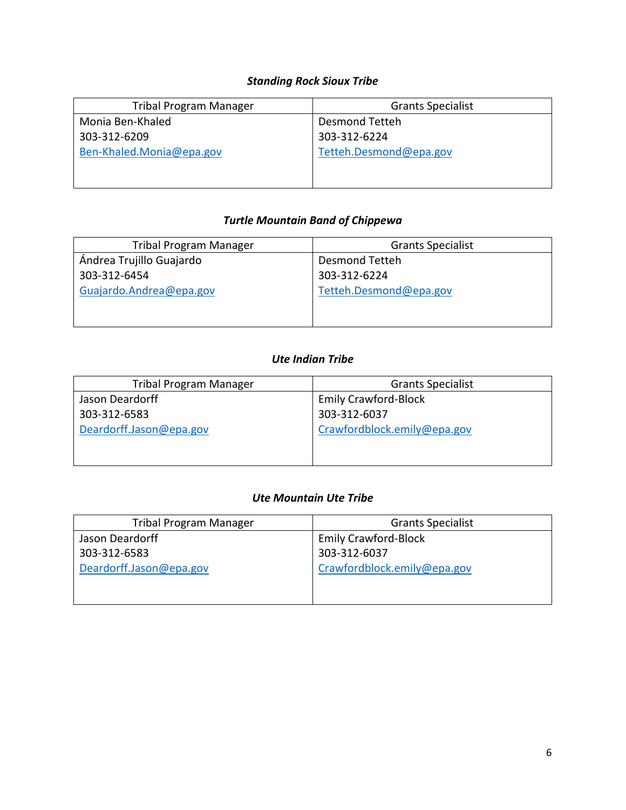### *Standing Rock Sioux Tribe*

| <b>Tribal Program Manager</b> | <b>Grants Specialist</b> |
|-------------------------------|--------------------------|
| Monia Ben-Khaled              | Desmond Tetteh           |
| 303-312-6209                  | 303-312-6224             |
| Ben-Khaled.Monia@epa.gov      | Tetteh.Desmond@epa.gov   |
|                               |                          |
|                               |                          |

### *Turtle Mountain Band of Chippewa*

| <b>Tribal Program Manager</b> | <b>Grants Specialist</b> |
|-------------------------------|--------------------------|
| Ándrea Trujillo Guajardo      | Desmond Tetteh           |
| 303-312-6454                  | 303-312-6224             |
| Guajardo.Andrea@epa.gov       | Tetteh.Desmond@epa.gov   |
|                               |                          |
|                               |                          |

### *Ute Indian Tribe*

| <b>Tribal Program Manager</b> | <b>Grants Specialist</b>    |
|-------------------------------|-----------------------------|
| Jason Deardorff               | <b>Emily Crawford-Block</b> |
| 303-312-6583                  | 303-312-6037                |
| Deardorff.Jason@epa.gov       | Crawfordblock.emily@epa.gov |
|                               |                             |
|                               |                             |

### *Ute Mountain Ute Tribe*

| <b>Tribal Program Manager</b> | <b>Grants Specialist</b>    |
|-------------------------------|-----------------------------|
| Jason Deardorff               | <b>Emily Crawford-Block</b> |
| 303-312-6583                  | 303-312-6037                |
| Deardorff.Jason@epa.gov       | Crawfordblock.emily@epa.gov |
|                               |                             |
|                               |                             |